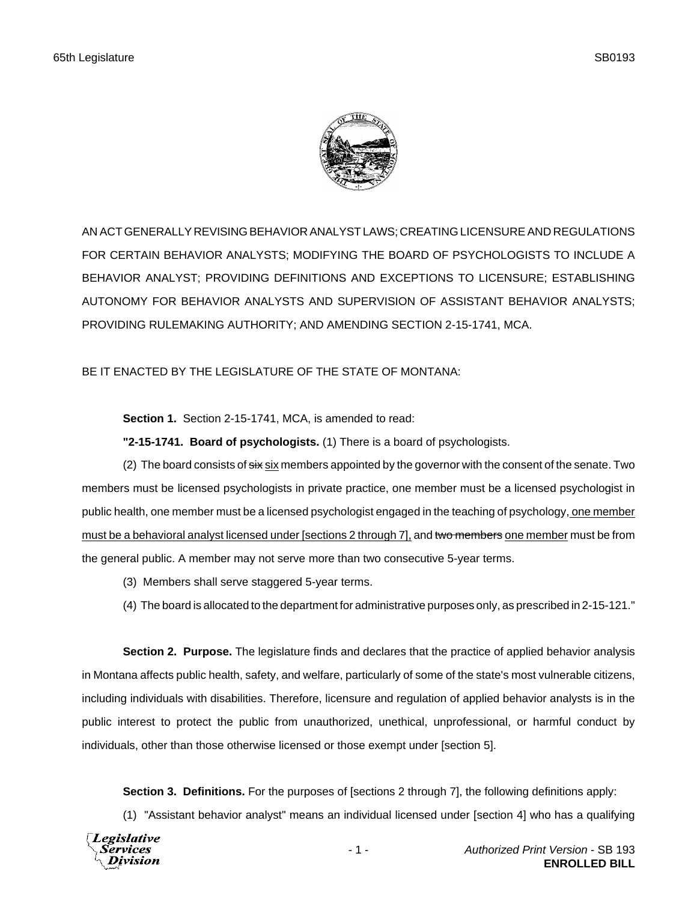

AN ACT GENERALLY REVISING BEHAVIOR ANALYST LAWS; CREATING LICENSURE AND REGULATIONS FOR CERTAIN BEHAVIOR ANALYSTS; MODIFYING THE BOARD OF PSYCHOLOGISTS TO INCLUDE A BEHAVIOR ANALYST; PROVIDING DEFINITIONS AND EXCEPTIONS TO LICENSURE; ESTABLISHING AUTONOMY FOR BEHAVIOR ANALYSTS AND SUPERVISION OF ASSISTANT BEHAVIOR ANALYSTS; PROVIDING RULEMAKING AUTHORITY; AND AMENDING SECTION 2-15-1741, MCA.

BE IT ENACTED BY THE LEGISLATURE OF THE STATE OF MONTANA:

**Section 1.** Section 2-15-1741, MCA, is amended to read:

**"2-15-1741. Board of psychologists.** (1) There is a board of psychologists.

(2) The board consists of  $\frac{1}{3}x$  six members appointed by the governor with the consent of the senate. Two members must be licensed psychologists in private practice, one member must be a licensed psychologist in public health, one member must be a licensed psychologist engaged in the teaching of psychology, one member must be a behavioral analyst licensed under [sections 2 through 7], and two members one member must be from the general public. A member may not serve more than two consecutive 5-year terms.

- (3) Members shall serve staggered 5-year terms.
- (4) The board is allocated to the department for administrative purposes only, as prescribed in 2-15-121."

**Section 2. Purpose.** The legislature finds and declares that the practice of applied behavior analysis in Montana affects public health, safety, and welfare, particularly of some of the state's most vulnerable citizens, including individuals with disabilities. Therefore, licensure and regulation of applied behavior analysts is in the public interest to protect the public from unauthorized, unethical, unprofessional, or harmful conduct by individuals, other than those otherwise licensed or those exempt under [section 5].

**Section 3. Definitions.** For the purposes of [sections 2 through 7], the following definitions apply:

(1) "Assistant behavior analyst" means an individual licensed under [section 4] who has a qualifying

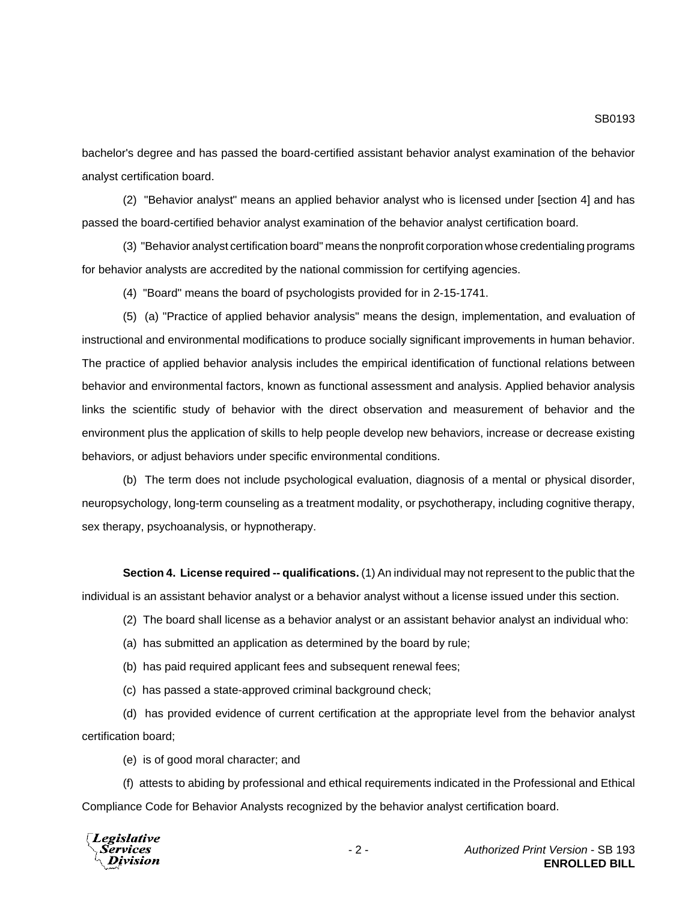bachelor's degree and has passed the board-certified assistant behavior analyst examination of the behavior analyst certification board.

(2) "Behavior analyst" means an applied behavior analyst who is licensed under [section 4] and has passed the board-certified behavior analyst examination of the behavior analyst certification board.

(3) "Behavior analyst certification board" means the nonprofit corporation whose credentialing programs for behavior analysts are accredited by the national commission for certifying agencies.

(4) "Board" means the board of psychologists provided for in 2-15-1741.

(5) (a) "Practice of applied behavior analysis" means the design, implementation, and evaluation of instructional and environmental modifications to produce socially significant improvements in human behavior. The practice of applied behavior analysis includes the empirical identification of functional relations between behavior and environmental factors, known as functional assessment and analysis. Applied behavior analysis links the scientific study of behavior with the direct observation and measurement of behavior and the environment plus the application of skills to help people develop new behaviors, increase or decrease existing behaviors, or adjust behaviors under specific environmental conditions.

(b) The term does not include psychological evaluation, diagnosis of a mental or physical disorder, neuropsychology, long-term counseling as a treatment modality, or psychotherapy, including cognitive therapy, sex therapy, psychoanalysis, or hypnotherapy.

**Section 4. License required -- qualifications.** (1) An individual may not represent to the public that the individual is an assistant behavior analyst or a behavior analyst without a license issued under this section.

(2) The board shall license as a behavior analyst or an assistant behavior analyst an individual who:

(a) has submitted an application as determined by the board by rule;

(b) has paid required applicant fees and subsequent renewal fees;

(c) has passed a state-approved criminal background check;

(d) has provided evidence of current certification at the appropriate level from the behavior analyst certification board;

(e) is of good moral character; and

(f) attests to abiding by professional and ethical requirements indicated in the Professional and Ethical Compliance Code for Behavior Analysts recognized by the behavior analyst certification board.



- 2 - *Authorized Print Version* - SB 193 **ENROLLED BILL**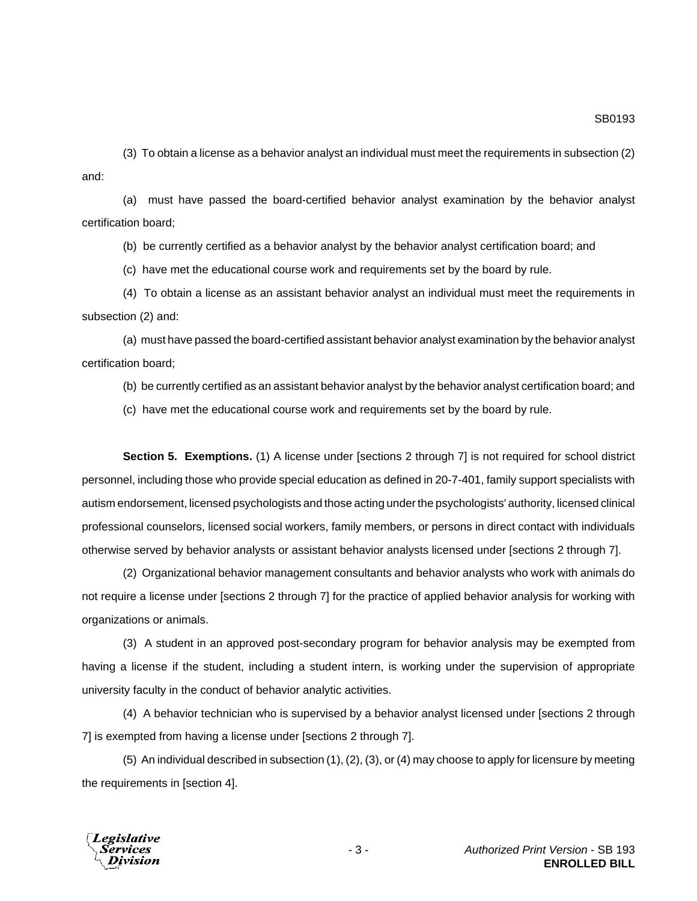(3) To obtain a license as a behavior analyst an individual must meet the requirements in subsection (2) and:

(a) must have passed the board-certified behavior analyst examination by the behavior analyst certification board;

(b) be currently certified as a behavior analyst by the behavior analyst certification board; and

(c) have met the educational course work and requirements set by the board by rule.

(4) To obtain a license as an assistant behavior analyst an individual must meet the requirements in subsection (2) and:

(a) must have passed the board-certified assistant behavior analyst examination by the behavior analyst certification board;

(b) be currently certified as an assistant behavior analyst by the behavior analyst certification board; and

(c) have met the educational course work and requirements set by the board by rule.

**Section 5. Exemptions.** (1) A license under [sections 2 through 7] is not required for school district personnel, including those who provide special education as defined in 20-7-401, family support specialists with autism endorsement, licensed psychologists and those acting under the psychologists' authority, licensed clinical professional counselors, licensed social workers, family members, or persons in direct contact with individuals otherwise served by behavior analysts or assistant behavior analysts licensed under [sections 2 through 7].

(2) Organizational behavior management consultants and behavior analysts who work with animals do not require a license under [sections 2 through 7] for the practice of applied behavior analysis for working with organizations or animals.

(3) A student in an approved post-secondary program for behavior analysis may be exempted from having a license if the student, including a student intern, is working under the supervision of appropriate university faculty in the conduct of behavior analytic activities.

(4) A behavior technician who is supervised by a behavior analyst licensed under [sections 2 through 7] is exempted from having a license under [sections 2 through 7].

(5) An individual described in subsection (1), (2), (3), or (4) may choose to apply for licensure by meeting the requirements in [section 4].

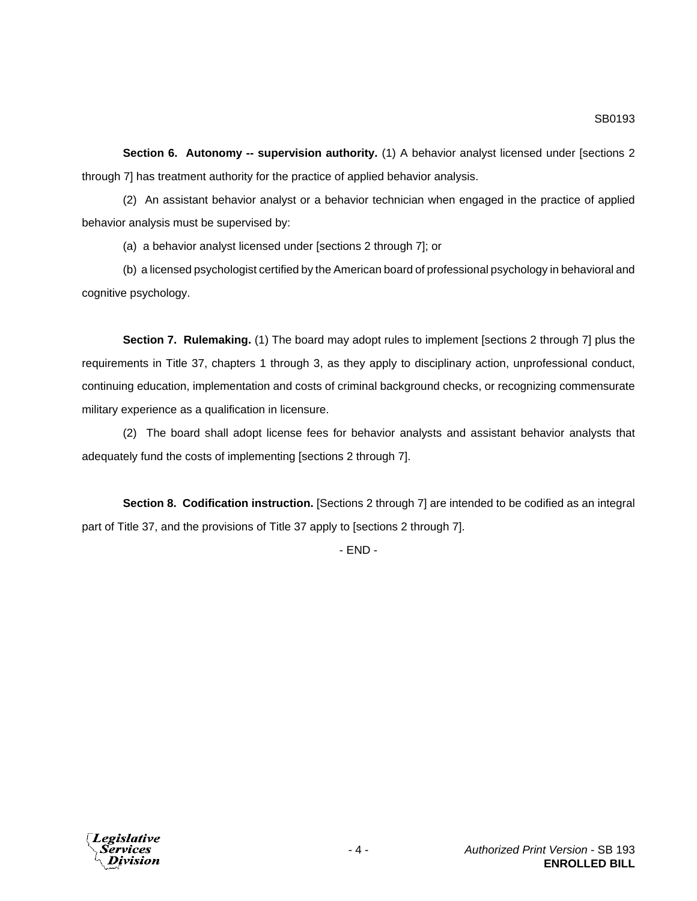**Section 6. Autonomy -- supervision authority.** (1) A behavior analyst licensed under [sections 2 through 7] has treatment authority for the practice of applied behavior analysis.

(2) An assistant behavior analyst or a behavior technician when engaged in the practice of applied behavior analysis must be supervised by:

(a) a behavior analyst licensed under [sections 2 through 7]; or

(b) a licensed psychologist certified by the American board of professional psychology in behavioral and cognitive psychology.

**Section 7. Rulemaking.** (1) The board may adopt rules to implement [sections 2 through 7] plus the requirements in Title 37, chapters 1 through 3, as they apply to disciplinary action, unprofessional conduct, continuing education, implementation and costs of criminal background checks, or recognizing commensurate military experience as a qualification in licensure.

(2) The board shall adopt license fees for behavior analysts and assistant behavior analysts that adequately fund the costs of implementing [sections 2 through 7].

**Section 8. Codification instruction.** [Sections 2 through 7] are intended to be codified as an integral part of Title 37, and the provisions of Title 37 apply to [sections 2 through 7].

- END -

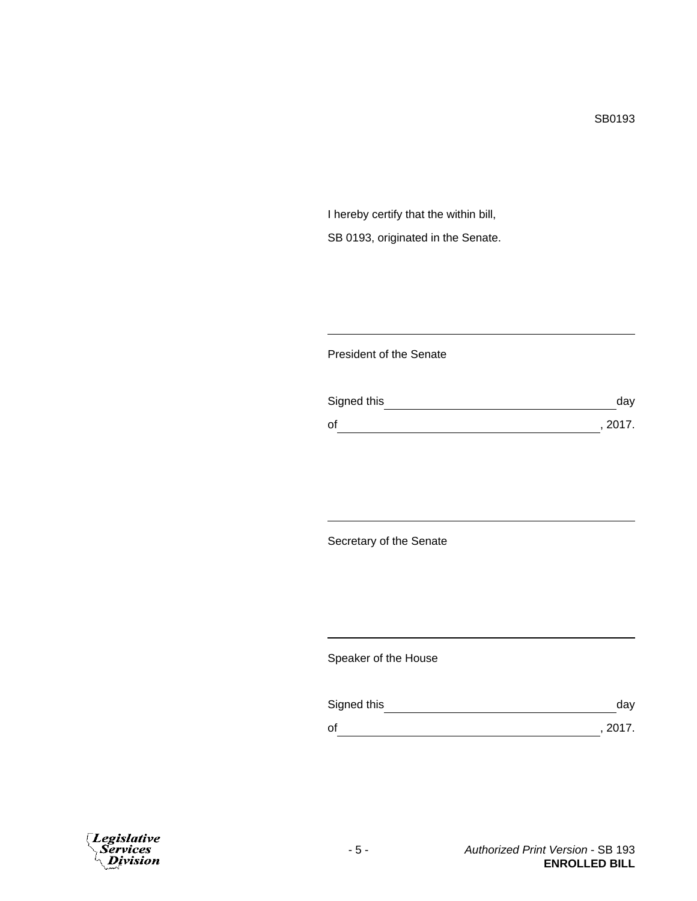I hereby certify that the within bill, SB 0193, originated in the Senate.

## President of the Senate

| Signed this | day     |
|-------------|---------|
| οf          | , 2017. |

Secretary of the Senate

Speaker of the House

| Signed this | dav     |
|-------------|---------|
| оf          | , 2017. |